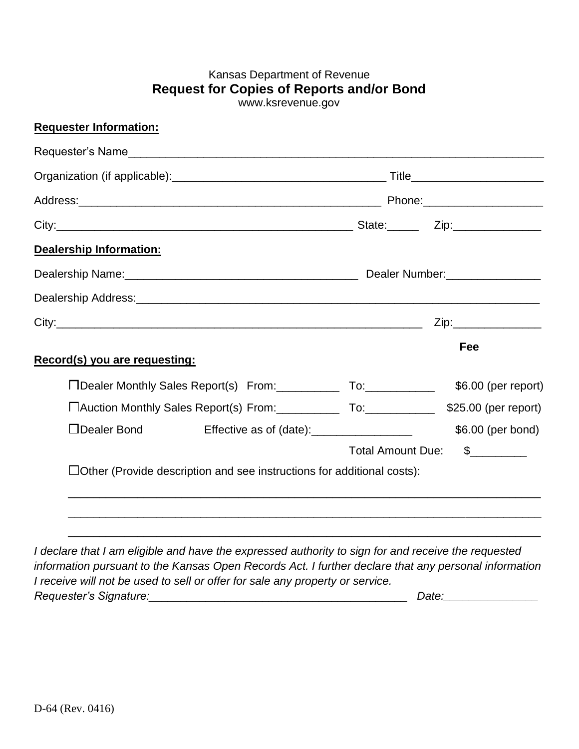## Kansas Department of Revenue **Request for Copies of Reports and/or Bond**  [www.ksrevenue.](http://www.ksrevenue.org/)gov

| <b>Requester Information:</b>                                                                   |                                                                               |                   |                     |
|-------------------------------------------------------------------------------------------------|-------------------------------------------------------------------------------|-------------------|---------------------|
|                                                                                                 |                                                                               |                   |                     |
|                                                                                                 |                                                                               |                   |                     |
|                                                                                                 |                                                                               |                   |                     |
|                                                                                                 |                                                                               |                   |                     |
| Dealership Information:                                                                         |                                                                               |                   |                     |
|                                                                                                 |                                                                               |                   |                     |
|                                                                                                 |                                                                               |                   |                     |
|                                                                                                 |                                                                               |                   |                     |
| Record(s) you are requesting:                                                                   |                                                                               |                   | Fee                 |
|                                                                                                 | □Dealer Monthly Sales Report(s) From: To: To:                                 |                   | \$6.00 (per report) |
| □Auction Monthly Sales Report(s) From: _______________ To: _______________ \$25.00 (per report) |                                                                               |                   |                     |
| □Dealer Bond                                                                                    | Effective as of (date): _____________________                                 |                   | \$6.00 (per bond)   |
|                                                                                                 |                                                                               | Total Amount Due: | $\sim$              |
|                                                                                                 | $\Box$ Other (Provide description and see instructions for additional costs): |                   |                     |
|                                                                                                 |                                                                               |                   |                     |
|                                                                                                 |                                                                               |                   |                     |
|                                                                                                 |                                                                               |                   |                     |

*I declare that I am eligible and have the expressed authority to sign for and receive the requested information pursuant to the Kansas Open Records Act. I further declare that any personal information I receive will not be used to sell or offer for sale any property or service. Requester's Signature:\_\_\_\_\_\_\_\_\_\_\_\_\_\_\_\_\_\_\_\_\_\_\_\_\_\_\_\_\_\_\_\_\_\_\_\_\_\_\_\_\_ Date:\_\_\_\_\_\_\_\_\_\_\_\_\_\_\_*